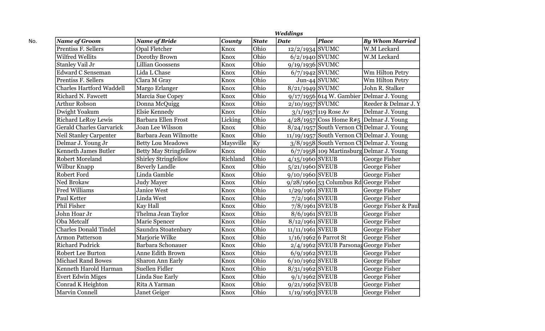|                                 |                               |               |              | <b>Weddings</b>    |                                          |                                              |
|---------------------------------|-------------------------------|---------------|--------------|--------------------|------------------------------------------|----------------------------------------------|
| <b>Name of Groom</b>            | <b>Name of Bride</b>          | <b>County</b> | <b>State</b> | <b>Date</b>        | <b>Place</b>                             | <b>By Whom Married</b>                       |
| Prentiss F. Sellers             | Opal Fletcher                 | Knox          | Ohio         | $12/2/1934$ SVUMC  |                                          | W.M Leckard                                  |
| Wilfred Wellits                 | Dorothy Brown                 | Knox          | Ohio         | $6/2/1940$ SVUMC   |                                          | W.M Leckard                                  |
| Stanley Vail Jr                 | <b>Lillian Goossens</b>       | Knox          | Ohio         | $9/19/1936$ SVUMC  |                                          |                                              |
| <b>Edward C Senseman</b>        | Lida L Chase                  | Knox          | Ohio         | $6/7/1942$ SVUMC   |                                          | Wm Hilton Petry                              |
| <b>Prentiss F. Sellers</b>      | Clara M Gray                  | Knox          | Ohio         |                    | $Jun-44$ SVUMC                           | Wm Hilton Petry                              |
| <b>Charles Hartford Waddell</b> | Margo Erlanger                | Knox          | Ohio         | $8/21/1949$ SVUMC  |                                          | John R. Stalker                              |
| <b>Richard N. Fawcett</b>       | Marcia Sue Copey              | Knox          | Ohio         |                    |                                          | $9/17/1956$ 614 W. Gambier Delmar J. Young   |
| Arthur Robson                   | Donna McQuigg                 | Knox          | Ohio         | $2/10/1957$ SVUMC  |                                          | Reeder & Delmar J.Y                          |
| Dwight Yoakum                   | Elsie Kennedy                 | Knox          | Ohio         |                    | $3/1/1957$ 119 Rose Av                   | Delmar J. Young                              |
| <b>Richard LeRoy Lewis</b>      | <b>Barbara Ellen Frost</b>    | Licking       | Ohio         |                    |                                          | $4/28/1957$ Coss Home $R#5$ Delmar J. Young  |
| <b>Gerald Charles Garvarick</b> | Joan Lee Wilsson              | Knox          | Ohio         |                    |                                          | $8/24/1957$ South Vernon Ch Delmar J. Young  |
| Neil Stanley Carpenter          | Barbara Jean Wilmotte         | Knox          | Ohio         |                    |                                          | $11/19/1957$ South Vernon Ch Delmar J. Young |
| Delmar J. Young Jr              | <b>Betty Lou Meadows</b>      | Maysville     | Ky           |                    |                                          | $3/8/1958$ South Vernon Ch Delmar J. Young   |
| <b>Kenneth James Butler</b>     | <b>Betty May Stringfellow</b> | Knox          | Ohio         |                    |                                          | $6/7/1958$ 109 Martinsburg Delmar J. Young   |
| <b>Robert Moreland</b>          | Shirley Stringfellow          | Richland      | Ohio         | $4/15/1960$ SVEUB  |                                          | George Fisher                                |
| Wilbur Knapp                    | <b>Beverly Landle</b>         | Knox          | Ohio         | $5/21/1960$ SVEUB  |                                          | George Fisher                                |
| <b>Robert Ford</b>              | Linda Gamble                  | Knox          | Ohio         | $9/10/1960$ SVEUB  |                                          | George Fisher                                |
| Ned Brokaw                      | <b>Judy Mayer</b>             | Knox          | Ohio         |                    | $9/28/1960$ 53 Columbus Rd George Fisher |                                              |
| Fred Williams                   | <b>Janice West</b>            | Knox          | Ohio         | $1/29/1961$ SVEUB  |                                          | George Fisher                                |
| Paul Ketter                     | Linda West                    | Knox          | Ohio         | $7/2/1961$ SVEUB   |                                          | George Fisher                                |
| <b>Phil Fisher</b>              | Kay Hall                      | Knox          | Ohio         | $7/8/1961$ SVEUB   |                                          | George Fisher & Paul                         |
| John Hoar Jr                    | Thelma Jean Taylor            | Knox          | Ohio         | $8/6/1961$ SVEUB   |                                          | George Fisher                                |
| Oba Metcalf                     | Marie Spencer                 | Knox          | Ohio         | $8/12/1961$ SVEUB  |                                          | George Fisher                                |
| <b>Charles Donald Tindel</b>    | Saundra Stoatenbary           | Knox          | Ohio         | $11/11/1961$ SVEUB |                                          | George Fisher                                |
| <b>Armon Patterson</b>          | Marjorie Wilke                | Knox          | Ohio         |                    | $1/16/1962$ 6 Parrot St                  | <b>George Fisher</b>                         |
| <b>Richard Pudrick</b>          | Barbara Schonauer             | Knox          | Ohio         |                    | 2/4/1962 SVEUB Parsonag George Fisher    |                                              |
| <b>Robert Lee Burton</b>        | Anne Edith Brown              | Knox          | Ohio         | $6/9/1962$ SVEUB   |                                          | George Fisher                                |
| <b>Michael Rand Bowes</b>       | Sharon Ann Early              | Knox          | Ohio         | $6/10/1962$ SVEUB  |                                          | George Fisher                                |
| Kenneth Harold Harman           | Suellen Fidler                | Knox          | Ohio         | $8/31/1962$ SVEUB  |                                          | <b>George Fisher</b>                         |
| <b>Evert Edwin Miges</b>        | Linda Sue Early               | Knox          | Ohio         | $9/1/1962$ SVEUB   |                                          | George Fisher                                |
| Conrad K Heighton               | Rita A Yarman                 | Knox          | Ohio         | $9/21/1962$ SVEUB  |                                          | George Fisher                                |
| <b>Marvin Connell</b>           | Janet Geiger                  | Knox          | Ohio         | $1/19/1963$ SVEUB  |                                          | George Fisher                                |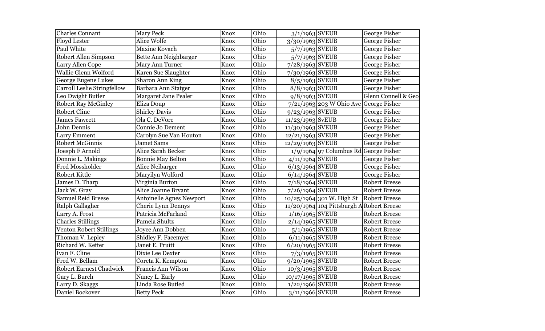| Ohio<br><b>Charles Connant</b><br><b>Mary Peck</b><br>Knox<br>$3/1/1963$ SVEUB<br>Ohio<br>Alice Wolfe<br>3/30/1963 SVEUB<br><b>Floyd Lester</b><br>Knox<br>Paul White<br>Maxine Kovach<br>Ohio<br>$5/7/1963$ SVEUB<br>Knox<br>Robert Allen Simpson<br>Ohio<br>$5/7/1963$ SVEUB<br>Bette Ann Neighbarger<br>Knox<br>Ohio<br>7/28/1963 SVEUB<br>Larry Allen Cope<br>Mary Ann Turner<br>Knox<br>Wallie Glenn Wolford<br>Ohio<br>Karen Sue Slaughter<br>Knox<br>$7/30/1963$ SVEUB<br>Ohio<br>Sharon Ann King<br>$8/5/1963$ SVEUB<br>George Eugene Lukes<br>Knox<br>Ohio<br>8/8/1963 SVEUB<br>Carroll Leslie Stringfellow<br>Barbara Ann Statger<br>Knox<br>Ohio<br>$9/8/1963$ SVEUB<br>Leo Dwight Butler<br>Margaret Jane Pealer<br>Knox<br>Ohio<br><b>Robert Ray McGinley</b><br>Eliza Doup<br>$7/21/1963$ 203 W Ohio Ave George Fisher<br>Knox<br><b>Robert Cline</b><br><b>Shirley Davis</b><br>Ohio<br>$9/23/1963$ SVEUB<br>Knox<br><b>James Fawcett</b><br>Ohio<br>Ola C. DeVore<br>$11/23/1963$ SvEUB<br>Knox<br>John Dennis<br>Ohio<br>Connie Jo Dement<br>Knox<br>$11/30/1963$ SVEUB<br>Ohio<br>$12/21/1963$ SVEUB<br>Larry Emment<br>Carolyn Sue Van Houton<br>Knox<br>Ohio<br>12/29/1963 SVEUB<br><b>Robert McGinnis</b><br><b>Jamet Sams</b><br>Knox<br>Alice Sarah Becker<br>Ohio<br>$1/9/1964$ 97 Columbus Rd George Fisher<br>Joesph F Arnold<br>Knox<br>Ohio<br>Donnie L. Makings<br>Knox<br>$4/11/1964$ SVEUB<br><b>Bonnie May Belton</b><br>Ohio<br><b>Fred Mossholder</b><br>Alice Neibarger<br>$6/13/1964$ SVEUB<br>Knox<br>Maryilyn Wolford<br>Ohio<br>Robert Kittle<br>$6/14/1964$ SVEUB<br>Knox<br>Ohio<br>Virginia Burton<br>$7/18/1964$ SVEUB<br>James D. Tharp<br>Knox<br>Alice Joanne Bryant<br>Ohio<br>Jack W. Gray<br>$7/26/1964$ SVEUB<br>Knox | George Fisher<br>George Fisher<br>George Fisher<br>George Fisher<br>George Fisher<br>George Fisher<br>George Fisher<br>George Fisher<br>Glenn Connell & Geo |
|-------------------------------------------------------------------------------------------------------------------------------------------------------------------------------------------------------------------------------------------------------------------------------------------------------------------------------------------------------------------------------------------------------------------------------------------------------------------------------------------------------------------------------------------------------------------------------------------------------------------------------------------------------------------------------------------------------------------------------------------------------------------------------------------------------------------------------------------------------------------------------------------------------------------------------------------------------------------------------------------------------------------------------------------------------------------------------------------------------------------------------------------------------------------------------------------------------------------------------------------------------------------------------------------------------------------------------------------------------------------------------------------------------------------------------------------------------------------------------------------------------------------------------------------------------------------------------------------------------------------------------------------------------------------------------------------------------------------------------------------------------------------------|-------------------------------------------------------------------------------------------------------------------------------------------------------------|
|                                                                                                                                                                                                                                                                                                                                                                                                                                                                                                                                                                                                                                                                                                                                                                                                                                                                                                                                                                                                                                                                                                                                                                                                                                                                                                                                                                                                                                                                                                                                                                                                                                                                                                                                                                         |                                                                                                                                                             |
|                                                                                                                                                                                                                                                                                                                                                                                                                                                                                                                                                                                                                                                                                                                                                                                                                                                                                                                                                                                                                                                                                                                                                                                                                                                                                                                                                                                                                                                                                                                                                                                                                                                                                                                                                                         |                                                                                                                                                             |
|                                                                                                                                                                                                                                                                                                                                                                                                                                                                                                                                                                                                                                                                                                                                                                                                                                                                                                                                                                                                                                                                                                                                                                                                                                                                                                                                                                                                                                                                                                                                                                                                                                                                                                                                                                         |                                                                                                                                                             |
|                                                                                                                                                                                                                                                                                                                                                                                                                                                                                                                                                                                                                                                                                                                                                                                                                                                                                                                                                                                                                                                                                                                                                                                                                                                                                                                                                                                                                                                                                                                                                                                                                                                                                                                                                                         |                                                                                                                                                             |
|                                                                                                                                                                                                                                                                                                                                                                                                                                                                                                                                                                                                                                                                                                                                                                                                                                                                                                                                                                                                                                                                                                                                                                                                                                                                                                                                                                                                                                                                                                                                                                                                                                                                                                                                                                         |                                                                                                                                                             |
|                                                                                                                                                                                                                                                                                                                                                                                                                                                                                                                                                                                                                                                                                                                                                                                                                                                                                                                                                                                                                                                                                                                                                                                                                                                                                                                                                                                                                                                                                                                                                                                                                                                                                                                                                                         |                                                                                                                                                             |
|                                                                                                                                                                                                                                                                                                                                                                                                                                                                                                                                                                                                                                                                                                                                                                                                                                                                                                                                                                                                                                                                                                                                                                                                                                                                                                                                                                                                                                                                                                                                                                                                                                                                                                                                                                         |                                                                                                                                                             |
|                                                                                                                                                                                                                                                                                                                                                                                                                                                                                                                                                                                                                                                                                                                                                                                                                                                                                                                                                                                                                                                                                                                                                                                                                                                                                                                                                                                                                                                                                                                                                                                                                                                                                                                                                                         |                                                                                                                                                             |
|                                                                                                                                                                                                                                                                                                                                                                                                                                                                                                                                                                                                                                                                                                                                                                                                                                                                                                                                                                                                                                                                                                                                                                                                                                                                                                                                                                                                                                                                                                                                                                                                                                                                                                                                                                         |                                                                                                                                                             |
|                                                                                                                                                                                                                                                                                                                                                                                                                                                                                                                                                                                                                                                                                                                                                                                                                                                                                                                                                                                                                                                                                                                                                                                                                                                                                                                                                                                                                                                                                                                                                                                                                                                                                                                                                                         |                                                                                                                                                             |
|                                                                                                                                                                                                                                                                                                                                                                                                                                                                                                                                                                                                                                                                                                                                                                                                                                                                                                                                                                                                                                                                                                                                                                                                                                                                                                                                                                                                                                                                                                                                                                                                                                                                                                                                                                         | George Fisher                                                                                                                                               |
|                                                                                                                                                                                                                                                                                                                                                                                                                                                                                                                                                                                                                                                                                                                                                                                                                                                                                                                                                                                                                                                                                                                                                                                                                                                                                                                                                                                                                                                                                                                                                                                                                                                                                                                                                                         | George Fisher                                                                                                                                               |
|                                                                                                                                                                                                                                                                                                                                                                                                                                                                                                                                                                                                                                                                                                                                                                                                                                                                                                                                                                                                                                                                                                                                                                                                                                                                                                                                                                                                                                                                                                                                                                                                                                                                                                                                                                         | George Fisher                                                                                                                                               |
|                                                                                                                                                                                                                                                                                                                                                                                                                                                                                                                                                                                                                                                                                                                                                                                                                                                                                                                                                                                                                                                                                                                                                                                                                                                                                                                                                                                                                                                                                                                                                                                                                                                                                                                                                                         | George Fisher                                                                                                                                               |
|                                                                                                                                                                                                                                                                                                                                                                                                                                                                                                                                                                                                                                                                                                                                                                                                                                                                                                                                                                                                                                                                                                                                                                                                                                                                                                                                                                                                                                                                                                                                                                                                                                                                                                                                                                         | George Fisher                                                                                                                                               |
|                                                                                                                                                                                                                                                                                                                                                                                                                                                                                                                                                                                                                                                                                                                                                                                                                                                                                                                                                                                                                                                                                                                                                                                                                                                                                                                                                                                                                                                                                                                                                                                                                                                                                                                                                                         |                                                                                                                                                             |
|                                                                                                                                                                                                                                                                                                                                                                                                                                                                                                                                                                                                                                                                                                                                                                                                                                                                                                                                                                                                                                                                                                                                                                                                                                                                                                                                                                                                                                                                                                                                                                                                                                                                                                                                                                         | George Fisher                                                                                                                                               |
|                                                                                                                                                                                                                                                                                                                                                                                                                                                                                                                                                                                                                                                                                                                                                                                                                                                                                                                                                                                                                                                                                                                                                                                                                                                                                                                                                                                                                                                                                                                                                                                                                                                                                                                                                                         | George Fisher                                                                                                                                               |
|                                                                                                                                                                                                                                                                                                                                                                                                                                                                                                                                                                                                                                                                                                                                                                                                                                                                                                                                                                                                                                                                                                                                                                                                                                                                                                                                                                                                                                                                                                                                                                                                                                                                                                                                                                         | George Fisher                                                                                                                                               |
|                                                                                                                                                                                                                                                                                                                                                                                                                                                                                                                                                                                                                                                                                                                                                                                                                                                                                                                                                                                                                                                                                                                                                                                                                                                                                                                                                                                                                                                                                                                                                                                                                                                                                                                                                                         | <b>Robert Breese</b>                                                                                                                                        |
|                                                                                                                                                                                                                                                                                                                                                                                                                                                                                                                                                                                                                                                                                                                                                                                                                                                                                                                                                                                                                                                                                                                                                                                                                                                                                                                                                                                                                                                                                                                                                                                                                                                                                                                                                                         | <b>Robert Breese</b>                                                                                                                                        |
| <b>Samuel Reid Breese</b><br><b>Antoinelle Agnes Newport</b><br>Ohio<br>Knox<br>$10/25/1964$ 301 W. High St                                                                                                                                                                                                                                                                                                                                                                                                                                                                                                                                                                                                                                                                                                                                                                                                                                                                                                                                                                                                                                                                                                                                                                                                                                                                                                                                                                                                                                                                                                                                                                                                                                                             | <b>Robert Breese</b>                                                                                                                                        |
| Ohio<br>11/20/1964 104 Pittsburgh<br>Ralph Gallagher<br>Cherie Lynn Dennys<br>Knox                                                                                                                                                                                                                                                                                                                                                                                                                                                                                                                                                                                                                                                                                                                                                                                                                                                                                                                                                                                                                                                                                                                                                                                                                                                                                                                                                                                                                                                                                                                                                                                                                                                                                      | <b>Robert Breese</b>                                                                                                                                        |
| Ohio<br>$1/16/1965$ SVEUB<br>Patricia McFarland<br>Larry A. Frost<br>Knox                                                                                                                                                                                                                                                                                                                                                                                                                                                                                                                                                                                                                                                                                                                                                                                                                                                                                                                                                                                                                                                                                                                                                                                                                                                                                                                                                                                                                                                                                                                                                                                                                                                                                               | <b>Robert Breese</b>                                                                                                                                        |
| Ohio<br><b>Charles Stillings</b><br>Pamela Shultz<br>$2/14/1965$ SVEUB<br>Knox                                                                                                                                                                                                                                                                                                                                                                                                                                                                                                                                                                                                                                                                                                                                                                                                                                                                                                                                                                                                                                                                                                                                                                                                                                                                                                                                                                                                                                                                                                                                                                                                                                                                                          | <b>Robert Breese</b>                                                                                                                                        |
| Ohio<br>Venton Robert Stillings<br>Joyce Ann Dobben<br>$5/1/1965$ SVEUB<br>Knox                                                                                                                                                                                                                                                                                                                                                                                                                                                                                                                                                                                                                                                                                                                                                                                                                                                                                                                                                                                                                                                                                                                                                                                                                                                                                                                                                                                                                                                                                                                                                                                                                                                                                         | <b>Robert Breese</b>                                                                                                                                        |
| Ohio<br>$6/11/1965$ SVEUB<br>Thoman V. Lepley<br>Shidley F. Facemyer<br>Knox                                                                                                                                                                                                                                                                                                                                                                                                                                                                                                                                                                                                                                                                                                                                                                                                                                                                                                                                                                                                                                                                                                                                                                                                                                                                                                                                                                                                                                                                                                                                                                                                                                                                                            | <b>Robert Breese</b>                                                                                                                                        |
| Ohio<br>Richard W. Ketter<br>Janet E. Pruitt<br>$6/20/1965$ SVEUB<br>Knox                                                                                                                                                                                                                                                                                                                                                                                                                                                                                                                                                                                                                                                                                                                                                                                                                                                                                                                                                                                                                                                                                                                                                                                                                                                                                                                                                                                                                                                                                                                                                                                                                                                                                               | <b>Robert Breese</b>                                                                                                                                        |
| Ivan F. Cline<br>Ohio<br>$7/3/1965$ SVEUB<br>Dixie Lee Dexter<br>Knox                                                                                                                                                                                                                                                                                                                                                                                                                                                                                                                                                                                                                                                                                                                                                                                                                                                                                                                                                                                                                                                                                                                                                                                                                                                                                                                                                                                                                                                                                                                                                                                                                                                                                                   | <b>Robert Breese</b>                                                                                                                                        |
| Ohio<br>Fred W. Bellam<br>9/20/1965 SVEUB<br>Coreta K. Kempton<br>Knox                                                                                                                                                                                                                                                                                                                                                                                                                                                                                                                                                                                                                                                                                                                                                                                                                                                                                                                                                                                                                                                                                                                                                                                                                                                                                                                                                                                                                                                                                                                                                                                                                                                                                                  | <b>Robert Breese</b>                                                                                                                                        |
| Ohio<br><b>Robert Earnest Chadwick</b><br>Francis Ann Wilson<br>$10/3/1965$ SVEUB<br>Knox                                                                                                                                                                                                                                                                                                                                                                                                                                                                                                                                                                                                                                                                                                                                                                                                                                                                                                                                                                                                                                                                                                                                                                                                                                                                                                                                                                                                                                                                                                                                                                                                                                                                               | <b>Robert Breese</b>                                                                                                                                        |
| Ohio<br>Gary L. Burch<br>Nancy L. Early<br>$10/17/1965$ SVEUB<br>Knox                                                                                                                                                                                                                                                                                                                                                                                                                                                                                                                                                                                                                                                                                                                                                                                                                                                                                                                                                                                                                                                                                                                                                                                                                                                                                                                                                                                                                                                                                                                                                                                                                                                                                                   | <b>Robert Breese</b>                                                                                                                                        |
| Ohio<br>Larry D. Skaggs<br>Linda Rose Butled<br>$1/22/1966$ SVEUB<br>Knox                                                                                                                                                                                                                                                                                                                                                                                                                                                                                                                                                                                                                                                                                                                                                                                                                                                                                                                                                                                                                                                                                                                                                                                                                                                                                                                                                                                                                                                                                                                                                                                                                                                                                               | <b>Robert Breese</b>                                                                                                                                        |
| Ohio<br>Daniel Bockover<br>$3/11/1966$ SVEUB<br><b>Betty Peck</b><br>Knox                                                                                                                                                                                                                                                                                                                                                                                                                                                                                                                                                                                                                                                                                                                                                                                                                                                                                                                                                                                                                                                                                                                                                                                                                                                                                                                                                                                                                                                                                                                                                                                                                                                                                               | <b>Robert Breese</b>                                                                                                                                        |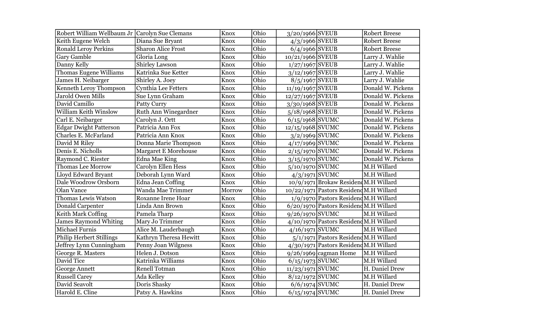| Robert William Wellbaum Jr Carolyn Sue Clemans |                             | Knox        | Ohio | 3/20/1966 SVEUB    |                                          | <b>Robert Breese</b> |
|------------------------------------------------|-----------------------------|-------------|------|--------------------|------------------------------------------|----------------------|
| Keith Eugene Welch                             | Diana Sue Bryant            | Knox        | Ohio | $4/3/1966$ SVEUB   |                                          | <b>Robert Breese</b> |
| <b>Ronald Leroy Perkins</b>                    | <b>Sharon Alice Frost</b>   | Knox        | Ohio | $6/4/1966$ SVEUB   |                                          | <b>Robert Breese</b> |
| <b>Gary Gamble</b>                             | Gloria Long                 | Knox        | Ohio | 10/21/1966 SVEUB   |                                          | Larry J. Wahlie      |
| Danny Kelly                                    | <b>Shirley Lawson</b>       | Knox        | Ohio | $1/27/1967$ SVEUB  |                                          | Larry J. Wahlie      |
| Thomas Eugene Williams                         | Katrinka Sue Ketter         | Knox        | Ohio | $3/12/1967$ SVEUB  |                                          | Larry J. Wahlie      |
| James H. Neibarger                             | Shirley A. Joey             | Knox        | Ohio | $8/5/1967$ SVEUB   |                                          | Larry J. Wahlie      |
| Kenneth Leroy Thompson                         | <b>Cynthia Lee Fetters</b>  | <b>Knox</b> | Ohio | 11/19/1967 SVEUB   |                                          | Donald W. Pickens    |
| <b>Jarold Owen Mills</b>                       | Sue Lynn Graham             | Knox        | Ohio | 12/27/1967 SVEUB   |                                          | Donald W. Pickens    |
| David Camillo                                  | <b>Patty Curry</b>          | Knox        | Ohio | 3/30/1968 SVEUB    |                                          | Donald W. Pickens    |
| William Keith Winslow                          | <b>Ruth Ann Winegardner</b> | Knox        | Ohio | 5/18/1968 SVEUB    |                                          | Donald W. Pickens    |
| Carl E. Neibarger                              | Carolyn J. Ortt             | Knox        | Ohio | $6/15/1968$ SVUMC  |                                          | Donald W. Pickens    |
| <b>Edgar Dwight Patterson</b>                  | Patricia Ann Fox            | Knox        | Ohio | $12/15/1968$ SVUMC |                                          | Donald W. Pickens    |
| Charles E. McFarland                           | Patricia Ann Knox           | Knox        | Ohio | $3/2/1969$ SVUMC   |                                          | Donald W. Pickens    |
| David M Riley                                  | Donna Marie Thompson        | Knox        | Ohio | $4/17/1969$ SVUMC  |                                          | Donald W. Pickens    |
| Denis E. Nicholls                              | <b>Margaret E Morehouse</b> | Knox        | Ohio | $2/15/1970$ SVUMC  |                                          | Donald W. Pickens    |
| Raymond C. Riester                             | <b>Edna Mae King</b>        | Knox        | Ohio | $3/15/1970$ SVUMC  |                                          | Donald W. Pickens    |
| <b>Thomas Lee Morrow</b>                       | Carolyn Ellen Hess          | Knox        | Ohio | $5/10/1970$ SVUMC  |                                          | M.H Willard          |
| Lloyd Edward Bryant                            | Deborah Lynn Ward           | Knox        | Ohio | $4/3/1971$ SVUMC   |                                          | M.H Willard          |
| Dale Woodrow Orsborn                           | <b>Edna Jean Coffing</b>    | Knox        | Ohio |                    | $10/9/1971$ Brokaw Residend M.H Willard  |                      |
| <b>Olan Vance</b>                              | Wanda Mae Trimmer           | Morrow      | Ohio |                    | 10/22/1971 Pastors Residend M.H Willard  |                      |
| Thomas Lewis Watson                            | Roxanne Irene Hoar          | Knox        | Ohio |                    | 1/9/1970 Pastors Residend M.H Willard    |                      |
| Donald Carpenter                               | Linda Ann Brown             | Knox        | Ohio |                    | $6/20/1970$ Pastors Residend M.H Willard |                      |
| Keith Mark Coffing                             | Pamela Tharp                | Knox        | Ohio | 9/26/1970 SVUMC    |                                          | M.H Willard          |
| <b>James Raymond Whiting</b>                   | Mary Jo Trimmer             | Knox        | Ohio |                    | 4/10/1970 Pastors Residend M.H Willard   |                      |
| Michael Furnis                                 | Alice M. Lauderbaugh        | Knox        | Ohio | $4/16/1971$ SVUMC  |                                          | M.H Willard          |
| Philip Herbert Stillings                       | Kathryn Theresa Hewitt      | Knox        | Ohio |                    | $5/1/1971$ Pastors Residend M.H Willard  |                      |
| Jeffrey Lynn Cunningham                        | Penny Joan Wilgness         | Knox        | Ohio |                    | $4/30/1971$ Pastors Residend M.H Willard |                      |
| George R. Masters                              | Helen J. Dotson             | Knox        | Ohio |                    | $9/26/1969$ cagman Home                  | M.H Willard          |
| David Tice                                     | Katrinka Williams           | Knox        | Ohio | $6/15/1973$ SVUMC  |                                          | M.H Willard          |
| <b>George Annett</b>                           | <b>Renell Totman</b>        | Knox        | Ohio | 11/23/1971 SVUMC   |                                          | H. Daniel Drew       |
| <b>Russell Carey</b>                           | Ada Kelley                  | Knox        | Ohio | $8/12/1972$ SVUMC  |                                          | M.H Willard          |
| David Seavolt                                  | Doris Shasky                | Knox        | Ohio | $6/6/1974$ SVUMC   |                                          | H. Daniel Drew       |
| Harold E. Cline                                | Patsy A. Hawkins            | Knox        | Ohio | $6/15/1974$ SVUMC  |                                          | H. Daniel Drew       |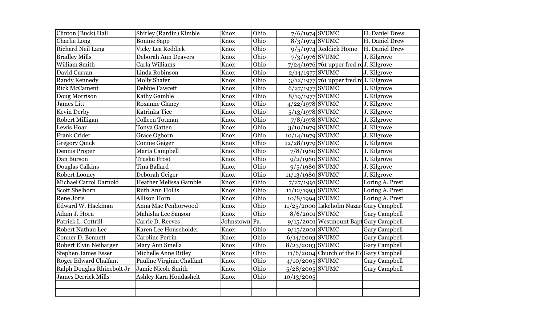| Clinton (Buck) Hall          | Shirley (Rardin) Kimble       | Knox          | Ohio | 7/6/1974 SVUMC     |                                                        | H. Daniel Drew       |
|------------------------------|-------------------------------|---------------|------|--------------------|--------------------------------------------------------|----------------------|
| Charlie Long                 | <b>Bonnie Sapp</b>            | Knox          | Ohio | $8/3/1974$ SVUMC   |                                                        | H. Daniel Drew       |
| <b>Richard Neil Lang</b>     | Vicky Lea Reddick             | Knox          | Ohio |                    | $9/5/1974$ Reddick Home                                | H. Daniel Drew       |
| <b>Bradley Mills</b>         | Deborah Ann Deavers           | Knox          | Ohio | $7/3/1976$ SVUMC   |                                                        | J. Kilgrove          |
| <b>William Smith</b>         | Carla Williams                | Knox          | Ohio |                    | 7/24/1976 761 upper fred rdJ. Kilgrove                 |                      |
| David Curran                 | Linda Robinson                | Knox          | Ohio | $2/14/1977$ SVUMC  |                                                        | J. Kilgrove          |
| Randy Kennedy                | <b>Molly Shafer</b>           | Knox          | Ohio |                    | $3/12/1977$ 761 upper fred rdJ. Kilgrove               |                      |
| <b>Rick McCament</b>         | Debbie Fawcett                | Knox          | Ohio | $6/27/1977$ SVUMC  |                                                        | J. Kilgrove          |
| Doug Morrison                | Kathy Gamble                  | Knox          | Ohio | 8/19/1977 SVUMC    |                                                        | J. Kilgrove          |
| <b>James Litt</b>            | <b>Roxanne Glancy</b>         | Knox          | Ohio | $4/22/1978$ SVUMC  |                                                        | J. Kilgrove          |
| Kevin Derby                  | Katrinka Tice                 | Knox          | Ohio | $5/13/1978$ SVUMC  |                                                        | J. Kilgrove          |
| Robert Milligan              | Colleen Totman                | Knox          | Ohio | $7/8/1978$ SVUMC   |                                                        | J. Kilgrove          |
| Lewis Hoar                   | <b>Tonya Gatten</b>           | Knox          | Ohio | 3/10/1979 SVUMC    |                                                        | J. Kilgrove          |
| Frank Crider                 | Grace Ogborn                  | Knox          | Ohio | $10/14/1979$ SVUMC |                                                        | J. Kilgrove          |
| <b>Gregory Quick</b>         | Connie Geiger                 | Knox          | Ohio | 12/28/1979 SVUMC   |                                                        | J. Kilgrove          |
| Dennis Proper                | Marta Campbell                | Knox          | Ohio | $7/8/1980$ SVUMC   |                                                        | J. Kilgrove          |
| Dan Burson                   | <b>Trusku Frost</b>           | Knox          | Ohio | $9/2/1980$ SVUMC   |                                                        | J. Kilgrove          |
| Douglas Calkins              | Tina Ballard                  | Knox          | Ohio | $9/5/1980$ SVUMC   |                                                        | J. Kilgrove          |
| Robert Looney                | Deborah Geiger                | Knox          | Ohio | $11/13/1980$ SVUMC |                                                        | J. Kilgrove          |
| Michael Carrol Darnold       | <b>Heather Melissa Gamble</b> | Knox          | Ohio | 7/27/1991 SVUMC    |                                                        | Loring A. Prest      |
| <b>Scott Shelhorn</b>        | Ruth Ann Hollis               | Knox          | Ohio | $11/12/1993$ SVUMC |                                                        | Loring A. Prest      |
| Rene Joris                   | <b>Allison Horn</b>           | Knox          | Ohio | 10/8/1994 SVUMC    |                                                        | Loring A. Prest      |
| Edward W. Hackman            | Anna Mae Penhorwood           | Knox          | Ohio |                    | $11/25/2000$ Lakeholm Nazar Gary Campbell              |                      |
| Adam J. Horn                 | Mahisha Lee Sanson            | Knox          | Ohio | $8/6/2001$ SVUMC   |                                                        | <b>Gary Campbell</b> |
| Patrick L. Cottrill          | Carrie D. Reeves              | Johnstown Pa. |      |                    | $9/15/2001$ Westmount Bapt Gary Campbell               |                      |
| Robert Nathan Lee            | Karen Lee Householder         | Knox          | Ohio | $9/15/2001$ SVUMC  |                                                        | <b>Gary Campbell</b> |
| Conner D. Bennett            | <b>Caroline Perrin</b>        | Knox          | Ohio | $6/14/2003$ SVUMC  |                                                        | <b>Gary Campbell</b> |
| Robert Elvin Neibarger       | Mary Ann Smella               | Knox          | Ohio | $8/23/2003$ SVUMC  |                                                        | <b>Gary Campbell</b> |
| <b>Stephen James Esser</b>   | Michelle Anne Ritley          | Knox          | Ohio |                    | $11/6/2004$ Church of the H <sub>d</sub> Gary Campbell |                      |
| <b>Roger Edward Chalfant</b> | Pauline Virginia Chalfant     | Knox          | Ohio | $4/10/2005$ SVUMC  |                                                        | <b>Gary Campbell</b> |
| Ralph Douglas Rhinebolt Jr   | Jamie Nicole Smith            | Knox          | Ohio | $5/28/2005$ SVUMC  |                                                        | <b>Gary Campbell</b> |
| <b>James Derrick Mills</b>   | Ashley Kara Houdashelt        | Knox          | Ohio | 10/13/2005         |                                                        |                      |
|                              |                               |               |      |                    |                                                        |                      |
|                              |                               |               |      |                    |                                                        |                      |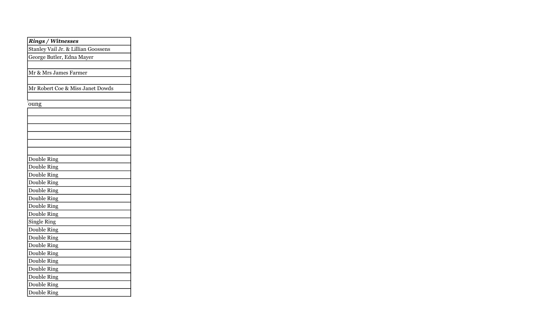| <b>Rings / Witnesses</b>            |  |
|-------------------------------------|--|
| Stanley Vail Jr. & Lillian Goossens |  |
| George Butler, Edna Mayer           |  |
|                                     |  |
| Mr & Mrs James Farmer               |  |
|                                     |  |
| Mr Robert Coe & Miss Janet Dowds    |  |
|                                     |  |
| oung                                |  |
|                                     |  |
|                                     |  |
|                                     |  |
|                                     |  |
|                                     |  |
|                                     |  |
| Double Ring                         |  |
| Double Ring                         |  |
| Double Ring                         |  |
| Double Ring                         |  |
| <b>Double Ring</b>                  |  |
| Double Ring                         |  |
| <b>Double Ring</b>                  |  |
| Double Ring                         |  |
| <b>Single Ring</b>                  |  |
| Double Ring                         |  |
| Double Ring                         |  |
| Double Ring                         |  |
| Double Ring                         |  |
| Double Ring                         |  |
| Double Ring                         |  |
| Double Ring                         |  |
| <b>Double Ring</b>                  |  |
| Double Ring                         |  |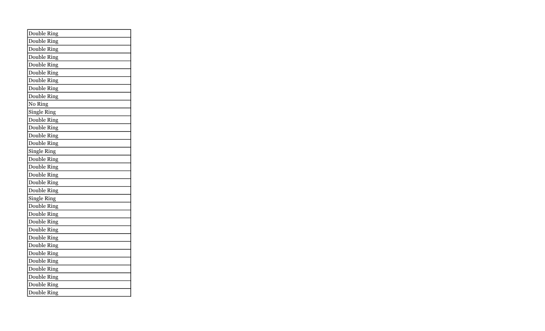| Double Ring        |
|--------------------|
| Double Ring        |
| <b>Double Ring</b> |
| Double Ring        |
| Double Ring        |
| Double Ring        |
| Double Ring        |
| Double Ring        |
| Double Ring        |
| No Ring            |
| <b>Single Ring</b> |
| Double Ring        |
| Double Ring        |
| Double Ring        |
| Double Ring        |
| <b>Single Ring</b> |
| Double Ring        |
| <b>Double Ring</b> |
| Double Ring        |
| Double Ring        |
| Double Ring        |
| <b>Single Ring</b> |
| Double Ring        |
| Double Ring        |
| Double Ring        |
| <b>Double Ring</b> |
| Double Ring        |
| Double Ring        |
| Double Ring        |
| Double Ring        |
| Double Ring        |
| Double Ring        |
| <b>Double Ring</b> |
| <b>Double Ring</b> |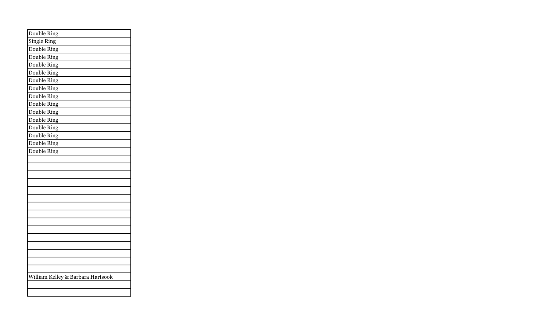| Double Ring                       |
|-----------------------------------|
| Single Ring                       |
| Double Ring                       |
| Double Ring                       |
| Double Ring                       |
| Double Ring                       |
| Double Ring                       |
| Double Ring                       |
| Double Ring                       |
| Double Ring                       |
| Double Ring                       |
| Double Ring                       |
| Double Ring                       |
| Double Ring                       |
| Double Ring                       |
| Double Ring                       |
|                                   |
|                                   |
|                                   |
|                                   |
|                                   |
|                                   |
|                                   |
|                                   |
|                                   |
|                                   |
|                                   |
|                                   |
|                                   |
|                                   |
|                                   |
| William Kelley & Barbara Hartsook |
|                                   |
|                                   |